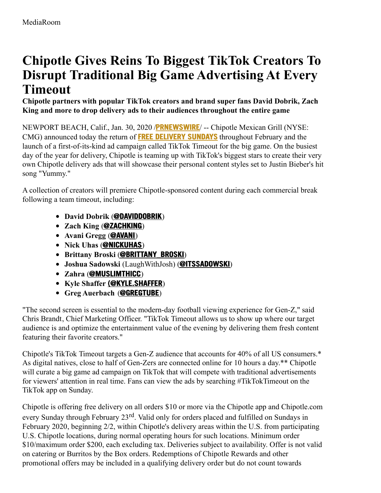# **Chipotle Gives Reins To Biggest TikTok Creators To Disrupt Traditional Big Game Advertising At Every Timeout**

**Chipotle partners with popular TikTok creators and brand super fans David Dobrik, Zach King and more to drop delivery ads to their audiences throughout the entire game**

NEWPORT BEACH, Calif., Jan. 30, 2020 /**[PRNEWSWIRE](http://www.prnewswire.com/)**/ -- Chipotle Mexican Grill (NYSE: CMG) announced today the return of **FREE [DELIVERY](https://c212.net/c/link/?t=0&l=en&o=2706953-1&h=4294222398&u=https%3A%2F%2Fwww.chipotle.com%2Ffreedeliverysundays&a=Free+Delivery+Sundays) SUNDAYS** throughout February and the launch of a first-of-its-kind ad campaign called TikTok Timeout for the big game. On the busiest day of the year for delivery, Chipotle is teaming up with TikTok's biggest stars to create their very own Chipotle delivery ads that will showcase their personal content styles set to Justin Bieber's hit song "Yummy."

A collection of creators will premiere Chipotle-sponsored content during each commercial break following a team timeout, including:

- **David Dobrik** (**[@DAVIDDOBRIK](https://c212.net/c/link/?t=0&l=en&o=2706953-1&h=785664858&u=https%3A%2F%2Fwww.tiktok.com%2F%40daviddobrik&a=%40daviddobrik)**)
- **Zach King** (**[@ZACHKING](https://c212.net/c/link/?t=0&l=en&o=2706953-1&h=3534065844&u=https%3A%2F%2Fwww.tiktok.com%2F%40zachking&a=%40zachking)**)
- **Avani Gregg** (**[@AVANI](https://c212.net/c/link/?t=0&l=en&o=2706953-1&h=241727220&u=https%3A%2F%2Fwww.tiktok.com%2F%40avani&a=%40avani)**)
- **Nick Uhas** (**[@NICKUHAS](https://c212.net/c/link/?t=0&l=en&o=2706953-1&h=2901836656&u=https%3A%2F%2Fwww.tiktok.com%2F%40nickuhas&a=%40nickuhas)**)
- **Brittany Broski** (**[@BRITTANY\\_BROSKI](https://c212.net/c/link/?t=0&l=en&o=2706953-1&h=457018315&u=https%3A%2F%2Fwww.tiktok.com%2F%40brittany_broski&a=%40brittany_broski)**)
- **Joshua Sadowski** (LaughWithJosh) (**[@ITSSADOWSKI](https://c212.net/c/link/?t=0&l=en&o=2706953-1&h=3840141125&u=https%3A%2F%2Fwww.tiktok.com%2F%40itssadowski&a=%40itssadowski)**)
- **Zahra** (**[@MUSLIMTHICC](https://c212.net/c/link/?t=0&l=en&o=2706953-1&h=1478357998&u=https%3A%2F%2Fwww.tiktok.com%2F%40muslimthicc&a=%40muslimthicc)**)
- **Kyle Shaffer [\(@KYLE.SHAFFER](https://c212.net/c/link/?t=0&l=en&o=2706953-1&h=4138024920&u=https%3A%2F%2Fwww.tiktok.com%2F%40kyle.shaffer&a=(%40kyle.shaffer)**)
- **Greg Auerbach** (**[@GREGTUBE](https://c212.net/c/link/?t=0&l=en&o=2706953-1&h=462914132&u=https%3A%2F%2Fwww.tiktok.com%2F%40gregtube&a=%40gregtube)**)

"The second screen is essential to the modern-day football viewing experience for Gen-Z," said Chris Brandt, Chief Marketing Officer. "TikTok Timeout allows us to show up where our target audience is and optimize the entertainment value of the evening by delivering them fresh content featuring their favorite creators."

Chipotle's TikTok Timeout targets a Gen-Z audience that accounts for 40% of all US consumers.\* As digital natives, close to half of Gen-Zers are connected online for 10 hours a day.\*\* Chipotle will curate a big game ad campaign on TikTok that will compete with traditional advertisements for viewers' attention in real time. Fans can view the ads by searching #TikTokTimeout on the TikTok app on Sunday.

Chipotle is offering free delivery on all orders \$10 or more via the Chipotle app and Chipotle.com every Sunday through February 23<sup>rd</sup>. Valid only for orders placed and fulfilled on Sundays in February 2020, beginning 2/2, within Chipotle's delivery areas within the U.S. from participating U.S. Chipotle locations, during normal operating hours for such locations. Minimum order \$10/maximum order \$200, each excluding tax. Deliveries subject to availability. Offer is not valid on catering or Burritos by the Box orders. Redemptions of Chipotle Rewards and other promotional offers may be included in a qualifying delivery order but do not count towards